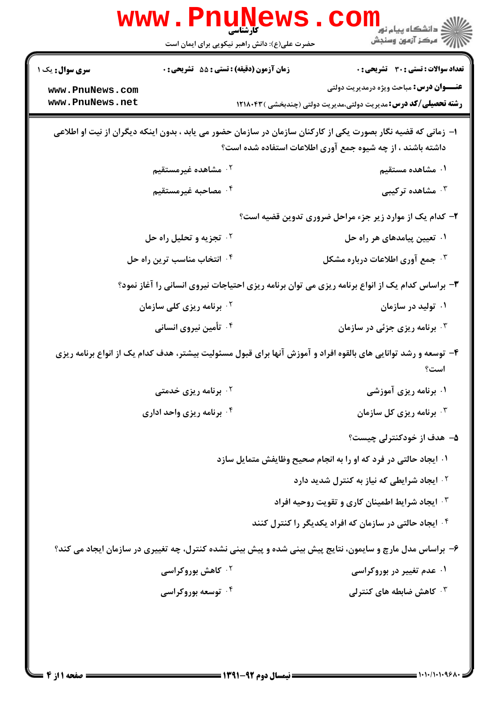| <b>سری سوال :</b> یک ۱                                                                                                                                                      | <b>زمان آزمون (دقیقه) : تستی : 55 تشریحی : 0</b> | <b>تعداد سوالات : تستی : 30 ٪ تشریحی : 0</b>                            |  |  |  |
|-----------------------------------------------------------------------------------------------------------------------------------------------------------------------------|--------------------------------------------------|-------------------------------------------------------------------------|--|--|--|
| www.PnuNews.com                                                                                                                                                             |                                                  | <b>عنـــوان درس:</b> مباحث ویژه درمدیریت دولتی                          |  |  |  |
| www.PnuNews.net                                                                                                                                                             |                                                  | <b>رشته تحصیلی/کد درس:</b> مدیریت دولتی،مدیریت دولتی (چندبخشی ) ۱۲۱۸۰۴۳ |  |  |  |
| ا– زمانی که قضیه نگار بصورت یکی از کارکنان سازمان در سازمان حضور می یابد ، بدون اینکه دیگران از نیت او اطلاعی<br>داشته باشند ، از چه شیوه جمع آوری اطلاعات استفاده شده است؟ |                                                  |                                                                         |  |  |  |
| ۰ <sup>۲</sup> مشاهده غیرمستقیم                                                                                                                                             |                                                  | ۰۱ مشاهده مستقیم                                                        |  |  |  |
| ۰۴ مصاحبه غیرمستقیم                                                                                                                                                         |                                                  | شاهده ترکیبی $\cdot$ "                                                  |  |  |  |
|                                                                                                                                                                             |                                                  | ۲- کدام یک از موارد زیر جزء مراحل ضروری تدوین قضیه است؟                 |  |  |  |
| <b>10 تجزیه و تحلیل راه حل</b>                                                                                                                                              |                                                  | ۰۱ تعیین پیامدهای هر راه حل                                             |  |  |  |
| ۰۴ انتخاب مناسب ترین راه حل                                                                                                                                                 |                                                  | ۰ <sup>۳</sup> جمع آوری اطلاعات درباره مشکل $\cdot$                     |  |  |  |
| ۳- براساس کدام یک از انواع برنامه ریزی می توان برنامه ریزی احتیاجات نیروی انسانی را آغاز نمود؟                                                                              |                                                  |                                                                         |  |  |  |
| ۰ <sup>۲</sup> برنامه ریزی کلی سازمان                                                                                                                                       |                                                  | ۰۱ تولید در سازمان                                                      |  |  |  |
| ۰۴ تأمین نیروی انسانی                                                                                                                                                       |                                                  | ۰۳ برنامه ریزی جزئی در سازمان                                           |  |  |  |
| ۴- توسعه و رشد توانایی های بالقوه افراد و آموزش آنها برای قبول مسئولیت بیشتر، هدف کدام یک از انواع برنامه ریزی<br>است؟                                                      |                                                  |                                                                         |  |  |  |
| <b>۰۲ برنامه ریزی خدمتی</b>                                                                                                                                                 |                                                  | ۰۱ برنامه ریزی آموزشی                                                   |  |  |  |
| ۰۴ برنامه ریزی واحد اداری                                                                                                                                                   |                                                  | ۰۳ برنامه ریزی کل سازمان $\cdot$                                        |  |  |  |
|                                                                                                                                                                             |                                                  | ۵– هدف از خودکنترلی چیست؟                                               |  |  |  |
|                                                                                                                                                                             |                                                  | ۰۱ ایجاد حالتی در فرد که او را به انجام صحیح وظایفش متمایل سازد         |  |  |  |
|                                                                                                                                                                             |                                                  | ۰ <sup>۲ .</sup> ایجاد شرایطی که نیاز به کنترل شدید دارد                |  |  |  |
|                                                                                                                                                                             |                                                  | <b>۴ وایجاد شرایط اطمینان کاری و تقویت روحیه افراد</b>                  |  |  |  |
|                                                                                                                                                                             |                                                  | ۰۴ ایجاد حالتی در سازمان که افراد یکدیگر را کنترل کنند                  |  |  |  |
| ۶- براساس مدل مارچ و سایمون، نتایج پیش بینی شده و پیش بینی نشده کنترل، چه تغییری در سازمان ایجاد می کند؟                                                                    |                                                  |                                                                         |  |  |  |
|                                                                                                                                                                             | <b>۰۲ کاهش بوروکراسی</b>                         | ۰۱ عدم تغییر در بوروکراسی                                               |  |  |  |
|                                                                                                                                                                             | ۰ <sup>۴</sup> توسعه بوروکراسی                   | ۰۳ کاهش ضابطه های کنترلی                                                |  |  |  |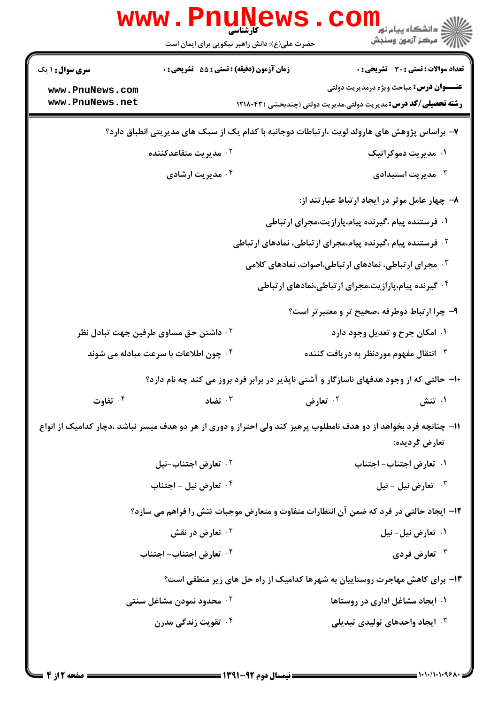|                                                                                                                                      | <b>WWW . PNUŅ</b><br>کار شناسی<br>حضرت علی(ع): دانش راهبر نیکویی برای ایمان است | د دانشگاه پيام نور<br>اي دانشگاه پيام نور<br>اي مرکز آزمون وسنجش        |  |  |  |
|--------------------------------------------------------------------------------------------------------------------------------------|---------------------------------------------------------------------------------|-------------------------------------------------------------------------|--|--|--|
| <b>سری سوال : ۱ یک</b>                                                                                                               | زمان آزمون (دقیقه) : تستی : 55 گشریحی : 0                                       | تعداد سوالات : تستي : 30 ٪ تشريحي : 0                                   |  |  |  |
| www.PnuNews.com                                                                                                                      |                                                                                 | <b>عنـــوان درس:</b> مباحث ویژه درمدیریت دولتی                          |  |  |  |
| www.PnuNews.net                                                                                                                      |                                                                                 | <b>رشته تحصیلی/کد درس:</b> مدیریت دولتی،مدیریت دولتی (چندبخشی ) ۱۲۱۸۰۴۳ |  |  |  |
| ۷- براساس پژوهش های هارولد لویت ،ارتباطات دوجانبه با کدام یک از سبک های مدیریتی انطباق دارد؟                                         |                                                                                 |                                                                         |  |  |  |
| ۰ <sup>۲</sup> مدیریت متقاعدکننده                                                                                                    |                                                                                 | ۰۱ مدیریت دموکراتیک                                                     |  |  |  |
|                                                                                                                                      | ۰۴ مدیریت ارشادی                                                                | ۰۳ مدیریت استبدادی $\cdot$                                              |  |  |  |
|                                                                                                                                      |                                                                                 | ۸– چهار عامل موثر در ایجاد ارتباط عبارتند از:                           |  |  |  |
| ۰۱ فرستنده پیام ،گیرنده پیام،پارازیت،مجرای ارتباطی                                                                                   |                                                                                 |                                                                         |  |  |  |
| <sup>۲</sup> ۰ فرستنده پیام ،گیرنده پیام،مجرای ارتباطی، نمادهای ارتباطی                                                              |                                                                                 |                                                                         |  |  |  |
| هجرای ارتباطی، نمادهای ارتباطی،اصوات، نمادهای کلامی $\cdot$                                                                          |                                                                                 |                                                                         |  |  |  |
| ۰۴ گیرنده پیام،پارازیت،مجرای ارتباطی،نمادهای ارتباطی                                                                                 |                                                                                 |                                                                         |  |  |  |
|                                                                                                                                      |                                                                                 | ۹- چرا ارتباط دوطرفه ،صحیح تر و معتبرتر است؟                            |  |  |  |
|                                                                                                                                      | <sup>7 .</sup> داشتن حق مساوی طرفین جهت تبادل نظر                               | ۰۱ امکان جرح و تعدیل وجود دارد                                          |  |  |  |
| ۰۴ چون اطلاعات با سرعت مبادله می شوند                                                                                                |                                                                                 | انتقال مفهوم موردنظر به دریافت کننده $\cdot$                            |  |  |  |
| ۱۰- حالتی که از وجود هدفهای ناسازگار و آشتی ناپذیر در برابر فرد بروز می کند چه نام دارد؟                                             |                                                                                 |                                                                         |  |  |  |
| ۰۴ تفاوت                                                                                                                             | تضاد $\cdot$                                                                    | ۰۲ تعارض<br>۰۱ تنش                                                      |  |  |  |
| 1۱- چنانچه فرد بخواهد از دو هدف نامطلوب پرهیز کند ولی احتراز و دوری از هر دو هدف میسر نباشد ،دچار کدامیک از انواع<br>تعار ض گر دیده: |                                                                                 |                                                                         |  |  |  |
| ۰ <sup>۲</sup> تعارض اجتناب-نیل                                                                                                      |                                                                                 | ٠١ تعارض اجتناب– اجتناب                                                 |  |  |  |
| ۰ <sup>۴</sup> تعارض نیل - اجتناب                                                                                                    |                                                                                 | تعارض نيل - نيل $\cdot$                                                 |  |  |  |
| ۱۲- ایجاد حالتی در فرد که ضمن آن انتظارات متفاوت و متعارض موجبات تنش را فراهم می سازد؟                                               |                                                                                 |                                                                         |  |  |  |
| ۰ <sup>۲</sup> تعارض در نقش                                                                                                          |                                                                                 | ۰۱ تعارض نیل- نیل                                                       |  |  |  |
| ۰۴ تعارض اجتناب- اجتناب                                                                                                              |                                                                                 | ۰ <sup>۳</sup> تعارض فردی                                               |  |  |  |
|                                                                                                                                      | ۱۳- برای کاهش مهاجرت روستاییان به شهرها کدامیک از راه حل های زیر منطقی است؟     |                                                                         |  |  |  |
|                                                                                                                                      | ۰ <sup>۲</sup> محدود نمودن مشاغل سنتی                                           | ۰۱ ایجاد مشاغل اداری در روستاها                                         |  |  |  |
|                                                                                                                                      | ۰ <sup>۴</sup> تقویت زندگی مدرن                                                 | ۰۳ ایجاد واحدهای تولیدی تبدیلی                                          |  |  |  |
|                                                                                                                                      |                                                                                 |                                                                         |  |  |  |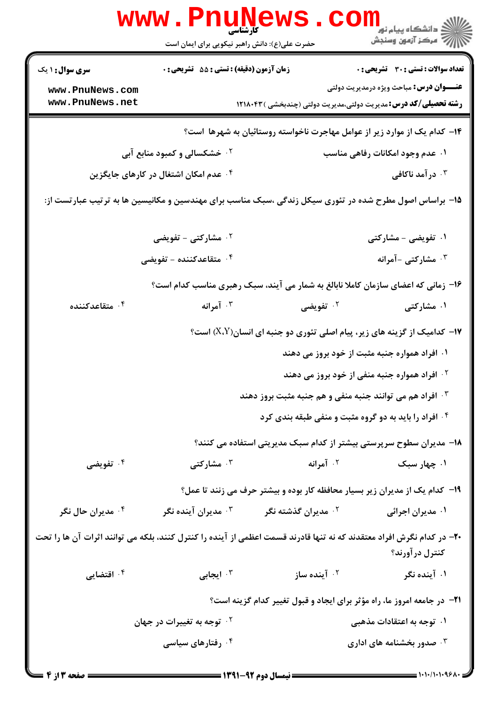| www.PnuNews<br>ڪ دانشڪاه پيا <sub>م</sub> نور<br><mark>ر</mark> ≂ مرڪز آزمون وسنڊش                                                       |                                                                             |                                                          |                                                                                   |  |  |
|------------------------------------------------------------------------------------------------------------------------------------------|-----------------------------------------------------------------------------|----------------------------------------------------------|-----------------------------------------------------------------------------------|--|--|
|                                                                                                                                          | حضرت علی(ع): دانش راهبر نیکویی برای ایمان است                               |                                                          |                                                                                   |  |  |
| <b>سری سوال : ۱ یک</b>                                                                                                                   | زمان آزمون (دقیقه) : تستی : 55 آتشریحی : 0                                  |                                                          | <b>تعداد سوالات : تستی : 30 ٪ تشریحی : 0</b>                                      |  |  |
| www.PnuNews.com                                                                                                                          |                                                                             |                                                          | <b>عنـــوان درس:</b> مباحث ویژه درمدیریت دولتی                                    |  |  |
| www.PnuNews.net                                                                                                                          |                                                                             |                                                          | <b>رشته تحصیلی/کد درس:</b> مدیریت دولتی،مدیریت دولتی (چندبخشی )۱۲۱۸۰۴۳            |  |  |
| ۱۴– کدام یک از موارد زیر از عوامل مهاجرت ناخواسته روستائیان به شهرها  ست؟                                                                |                                                                             |                                                          |                                                                                   |  |  |
|                                                                                                                                          | <b>گ خشکسالی و کمبود منابع آبی</b>                                          |                                                          | ۰۱ عدم وجود امکانات رفاهی مناسب                                                   |  |  |
|                                                                                                                                          | ۰۴ عدم امکان اشتغال در کارهای جایگزین                                       |                                                          | ۰ <sup>۳</sup> در آمد ناکافی                                                      |  |  |
| ۱۵– براساس اصول مطرح شده در تئوری سیکل زندگی ،سبک مناسب برای مهندسین و مکانیسین ها به ترتیب عبارتست از:                                  |                                                                             |                                                          |                                                                                   |  |  |
|                                                                                                                                          | <sup>7</sup> · مشارکتی - تفویضی                                             |                                                          | ۰۱ تفویضی - مشارکتی                                                               |  |  |
|                                                                                                                                          | ۰ <sup>۴</sup> متقاعدکننده – تفویضی                                         |                                                          | ۰ <sup>۳</sup> مشارکتی -آمرانه                                                    |  |  |
|                                                                                                                                          |                                                                             |                                                          | ۱۶- زمانی که اعضای سازمان کاملا نابالغ به شمار می آیند، سبک رهبری مناسب کدام است؟ |  |  |
| ۰۴ متقاعدکننده                                                                                                                           | ۰۳ آمرانه                                                                   | ۰ <sup>۲</sup> تفویضی                                    | ۰۱ مشارکتی                                                                        |  |  |
|                                                                                                                                          |                                                                             |                                                          | <b>۱۷</b> - کدامیک از گزینه های زیر، پیام اصلی تئوری دو جنبه ای انسان(X،Y) است؟   |  |  |
|                                                                                                                                          | ۰۱ افراد همواره جنبه مثبت از خود بروز می دهند                               |                                                          |                                                                                   |  |  |
|                                                                                                                                          |                                                                             |                                                          | <sup>۲</sup> ۰ افراد همواره جنبه منفی از خود بروز می دهند                         |  |  |
|                                                                                                                                          |                                                                             | ۰۳ افراد هم می توانند جنبه منفی و هم جنبه مثبت بروز دهند |                                                                                   |  |  |
|                                                                                                                                          |                                                                             |                                                          | ۰۴ افراد را باید به دو گروه مثبت و منفی طبقه بندی کرد                             |  |  |
|                                                                                                                                          |                                                                             |                                                          | ۱۸- مدیران سطوح سرپرستی بیشتر از کدام سبک مدیریتی استفاده می کنند؟                |  |  |
| ۰۴ تفویضی                                                                                                                                | ۰ <sup>۳</sup> مشارکتی                                                      | ۰ <sup>۲</sup> آمرانه                                    | ۰۱ چهار سبک                                                                       |  |  |
|                                                                                                                                          | ۱۹- کدام یک از مدیران زیر بسیار محافظه کار بوده و بیشتر حرف می زنند تا عمل؟ |                                                          |                                                                                   |  |  |
| ۰ <sup>۴</sup> مدیران حال نگر                                                                                                            | مدیران آینده نگر $\cdot$                                                    | ۰ <sup>۲</sup> مدیران گذشته نگر                          | ۰۱ مدیران اجرائی                                                                  |  |  |
| +۲- در کدام نگرش افراد معتقدند که نه تنها قادرند قسمت اعظمی از آینده را کنترل کنند، بلکه می توانند اثرات آن ها را تحت<br>کنترل در آورند؟ |                                                                             |                                                          |                                                                                   |  |  |
| ۰ <sup>۴</sup> اقتضایی                                                                                                                   | ۰ <sup>۳</sup> ایجابی                                                       | ۰ <sup>۲ -</sup> آینده ساز                               | ۰۱ آینده نگر                                                                      |  |  |
| <b>۲۱</b> - در جامعه امروز ما، راه مؤثر برای ایجاد و قبول تغییر کدام گزینه است؟                                                          |                                                                             |                                                          |                                                                                   |  |  |
|                                                                                                                                          | <sup>۲</sup> ۰ توجه به تغییرات در جهان                                      |                                                          | ۰۱ توجه به اعتقادات مذهبی                                                         |  |  |
|                                                                                                                                          | ۰۴ رفتارهای سیاسی                                                           |                                                          | ۰۳ صدور بخشنامه های اداری $\cdot$                                                 |  |  |
|                                                                                                                                          |                                                                             |                                                          |                                                                                   |  |  |